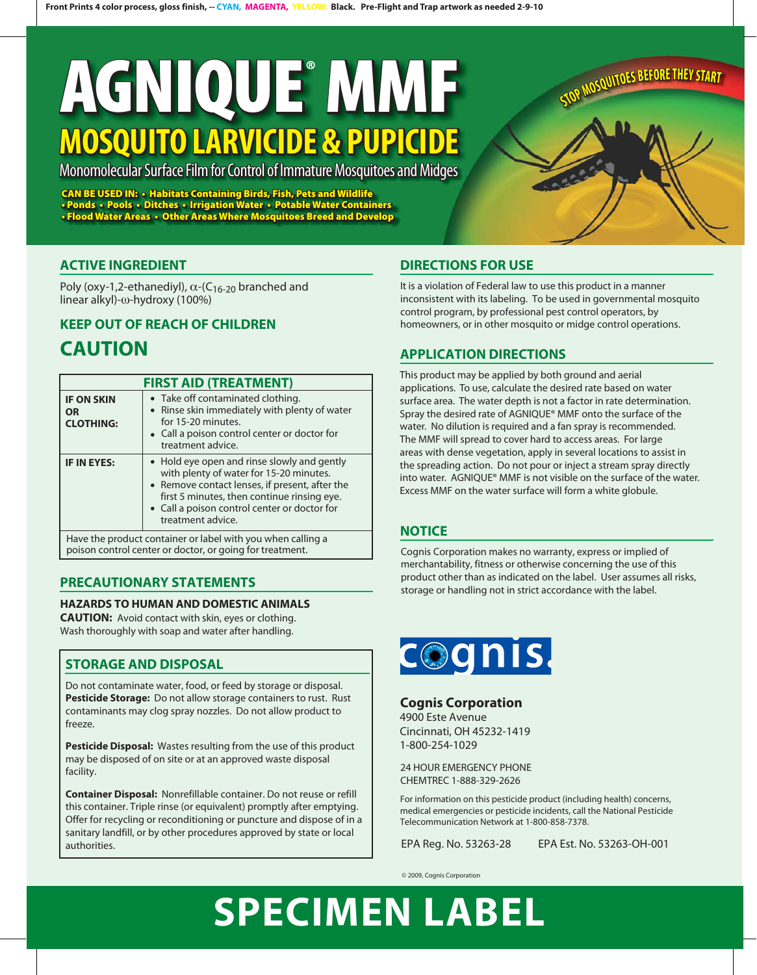# **AGNIQUE MMF AGNIQUE MMF AGNIQUE MOSQUITO LARVICIDE & PUPICIDE MOSQUITO LARVICIDE & PUPICIDE MOSQUITO LARVICIDE &**

### Monomolecular Surface Film for Control of Immature Mosquitoes and Midges

**CAN BE USED IN: • Habitats Containing Birds, Fish, Pets and Wildlife Wildlife** • Ponds • Pools • Ditches • Irrigation Water • Potable Water Containers **• Flood Water Areas • Other Areas Where Mosquitoes Breed and Develop Develop CAN BE USED IN: • Habitats Containing Birds, Fish, Pets and Wildlife Wildlife** • Ponds • Pools • Ditches • Irrigation Water • Potable Water Containers **• Flood Water Areas • Other Areas Where Mosquitoes Breed and Develop Develop**

#### **ACTIVE INGREDIENT**

Poly (oxy-1,2-ethanediyl),  $\alpha$ -(C<sub>16-20</sub> branched and linear alkyl)-ω-hydroxy (100%)

### **KEEP OUT OF REACH OF CHILDREN**

### **CAUTION**

| <b>FIRST AID (TREATMENT)</b>                                                                                            |                                                                                                                                                                                                                                                              |  |
|-------------------------------------------------------------------------------------------------------------------------|--------------------------------------------------------------------------------------------------------------------------------------------------------------------------------------------------------------------------------------------------------------|--|
| <b>IF ON SKIN</b><br><b>OR</b><br><b>CLOTHING:</b>                                                                      | • Take off contaminated clothing.<br>• Rinse skin immediately with plenty of water<br>for 15-20 minutes.<br>• Call a poison control center or doctor for<br>treatment advice.                                                                                |  |
| <b>IF IN EYES:</b>                                                                                                      | • Hold eye open and rinse slowly and gently<br>with plenty of water for 15-20 minutes.<br>• Remove contact lenses, if present, after the<br>first 5 minutes, then continue rinsing eye.<br>• Call a poison control center or doctor for<br>treatment advice. |  |
| Have the product container or label with you when calling a<br>poison control center or doctor, or going for treatment. |                                                                                                                                                                                                                                                              |  |

#### **PRECAUTIONARY STATEMENTS**

#### **HAZARDS TO HUMAN AND DOMESTIC ANIMALS**

**CAUTION:** Avoid contact with skin, eyes or clothing. Wash thoroughly with soap and water after handling.

#### **STORAGE AND DISPOSAL**

Do not contaminate water, food, or feed by storage or disposal. **Pesticide Storage:** Do not allow storage containers to rust. Rust contaminants may clog spray nozzles. Do not allow product to freeze.

**Pesticide Disposal:** Wastes resulting from the use of this product may be disposed of on site or at an approved waste disposal facility.

**Container Disposal:** Nonrefillable container. Do not reuse or refill this container. Triple rinse (or equivalent) promptly after emptying. Offer for recycling or reconditioning or puncture and dispose of in a sanitary landfill, or by other procedures approved by state or local authorities.

#### **DIRECTIONS FOR USE**

It is a violation of Federal law to use this product in a manner inconsistent with its labeling. To be used in governmental mosquito control program, by professional pest control operators, by homeowners, or in other mosquito or midge control operations.

**STOP MOSQUITOES BEFORE THEY START** 

#### **APPLICATION DIRECTIONS**

This product may be applied by both ground and aerial applications. To use, calculate the desired rate based on water surface area. The water depth is not a factor in rate determination. Spray the desired rate of AGNIQUE® MMF onto the surface of the water. No dilution is required and a fan spray is recommended. The MMF will spread to cover hard to access areas. For large areas with dense vegetation, apply in several locations to assist in the spreading action. Do not pour or inject a stream spray directly into water. AGNIQUE® MMF is not visible on the surface of the water. Excess MMF on the water surface will form a white globule.

#### **NOTICE**

Cognis Corporation makes no warranty, express or implied of merchantability, fitness or otherwise concerning the use of this product other than as indicated on the label. User assumes all risks, storage or handling not in strict accordance with the label.



#### **Cognis Corporation**

4900 Este Avenue Cincinnati, OH 45232-1419 1-800-254-1029

24 HOUR EMERGENCY PHONE CHEMTREC 1-888-329-2626

For information on this pesticide product (including health) concerns, medical emergencies or pesticide incidents, call the National Pesticide Telecommunication Network at 1-800-858-7378.

EPA Reg. No. 53263-28 EPA Est. No. 53263-OH-001

© 2009, Cognis Corporation

## **SPECIMEN LABEL**